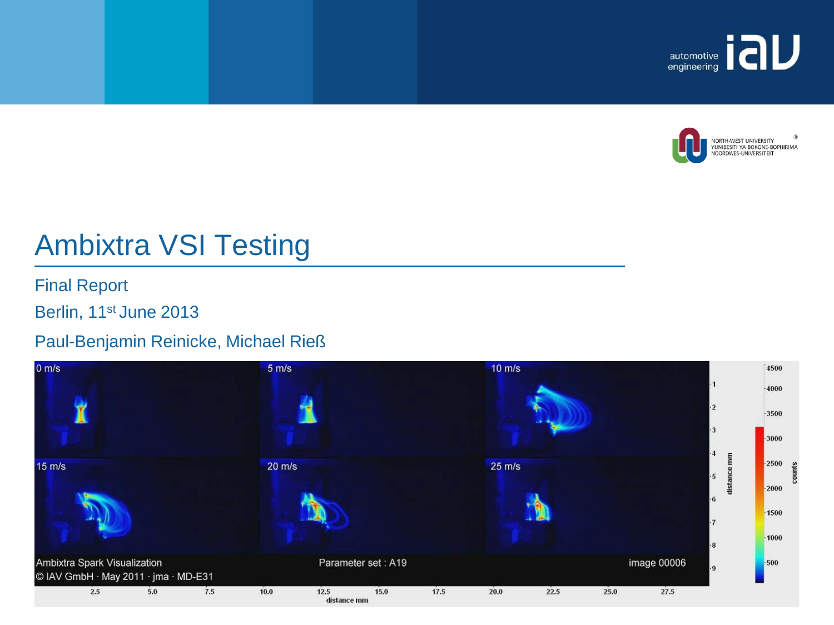



# Ambixtra VSI Testing

Final Report

Berlin, 11<sup>st</sup> June 2013

#### Paul-Benjamin Reinicke, Michael Rieß

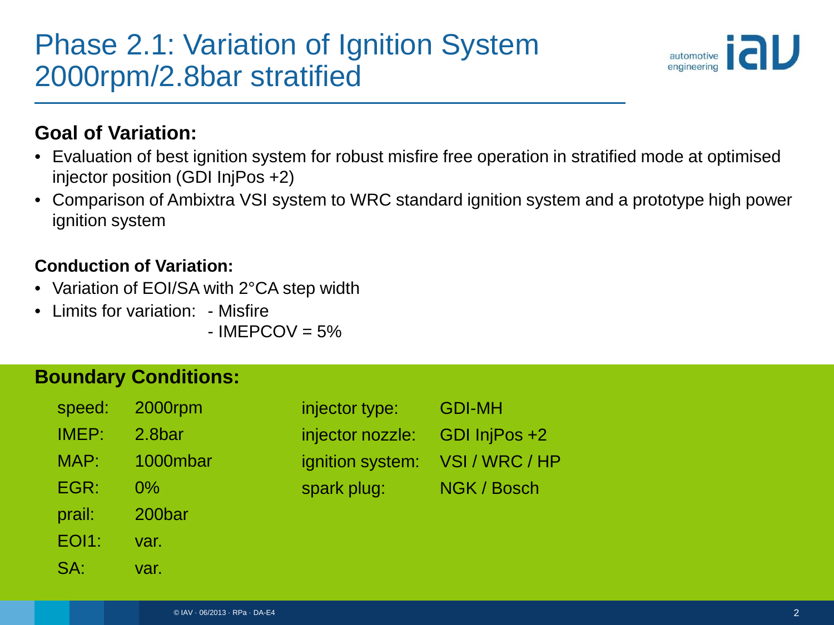# Phase 2.1: Variation of Ignition System 2000rpm/2.8bar stratified



#### **Goal of Variation:**

- Evaluation of best ignition system for robust misfire free operation in stratified mode at optimised injector position (GDI InjPos +2)
- Comparison of Ambixtra VSI system to WRC standard ignition system and a prototype high power ignition system

#### **Conduction of Variation:**

- Variation of EOI/SA with 2°CA step width
- Limits for variation: Misfire

 $-$  IMEPCOV = 5%

| speed:       | 2000rpm  |
|--------------|----------|
| IMEP:        | 2.8bar   |
| MAP:         | 1000mbar |
| EGR:         | 0%       |
| prail:       | 200bar   |
| <b>EOI1:</b> | var.     |
| $SA^{-}$     | var.     |

| injector type:   | <b>GDI-MH</b>  |
|------------------|----------------|
| injector nozzle: | GDI InjPos +2  |
| ignition system: | VSI / WRC / HP |
| spark plug:      | NGK / Bosch    |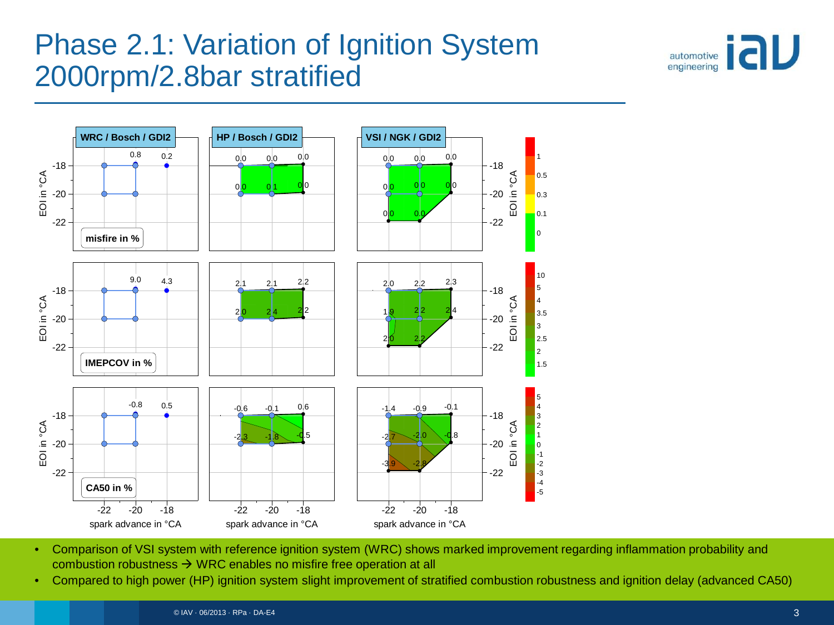# Phase 2.1: Variation of Ignition System 2000rpm/2.8bar stratified





- Comparison of VSI system with reference ignition system (WRC) shows marked improvement regarding inflammation probability and combustion robustness  $\rightarrow$  WRC enables no misfire free operation at all
- Compared to high power (HP) ignition system slight improvement of stratified combustion robustness and ignition delay (advanced CA50)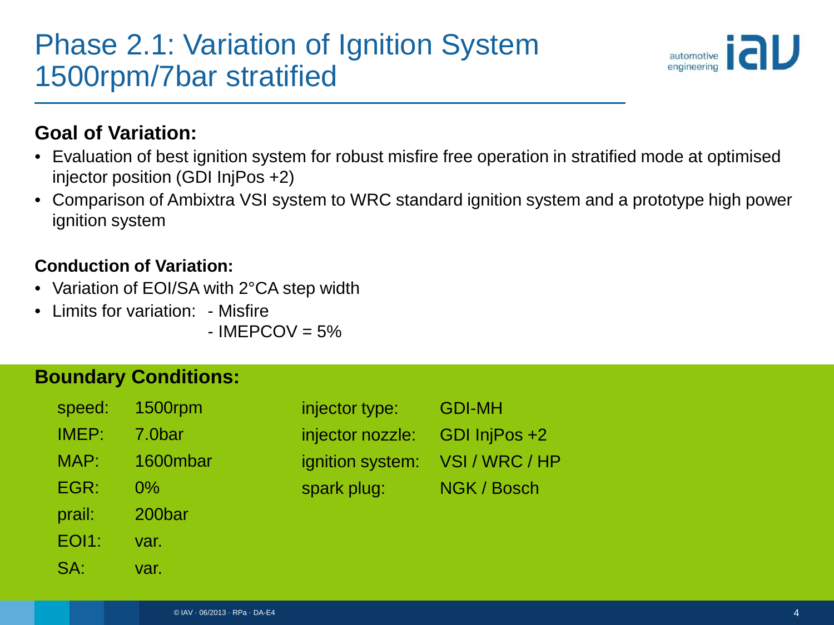# Phase 2.1: Variation of Ignition System 1500rpm/7bar stratified



#### **Goal of Variation:**

- Evaluation of best ignition system for robust misfire free operation in stratified mode at optimised injector position (GDI InjPos +2)
- Comparison of Ambixtra VSI system to WRC standard ignition system and a prototype high power ignition system

#### **Conduction of Variation:**

- Variation of EOI/SA with 2°CA step width
- Limits for variation: Misfire

 $-$  IMEPCOV = 5%

| speed:       | 1500rpm  |
|--------------|----------|
| IMEP:        | 7.0bar   |
| MAP:         | 1600mbar |
| EGR:         | 0%       |
| prail:       | 200bar   |
| <b>EOI1:</b> | var.     |
| $SA^+$       | var.     |

| injector type:   | <b>GDI-MH</b>  |
|------------------|----------------|
| injector nozzle: | GDI InjPos +2  |
| ignition system: | VSI / WRC / HP |
| spark plug:      | NGK / Bosch    |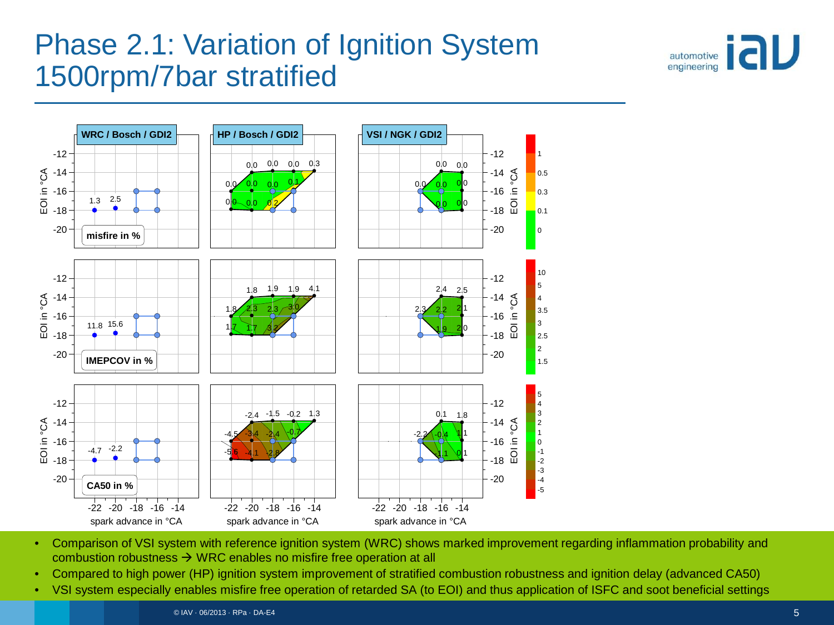# Phase 2.1: Variation of Ignition System 1500rpm/7bar stratified





- Comparison of VSI system with reference ignition system (WRC) shows marked improvement regarding inflammation probability and combustion robustness  $\rightarrow$  WRC enables no misfire free operation at all
- Compared to high power (HP) ignition system improvement of stratified combustion robustness and ignition delay (advanced CA50)
- VSI system especially enables misfire free operation of retarded SA (to EOI) and thus application of ISFC and soot beneficial settings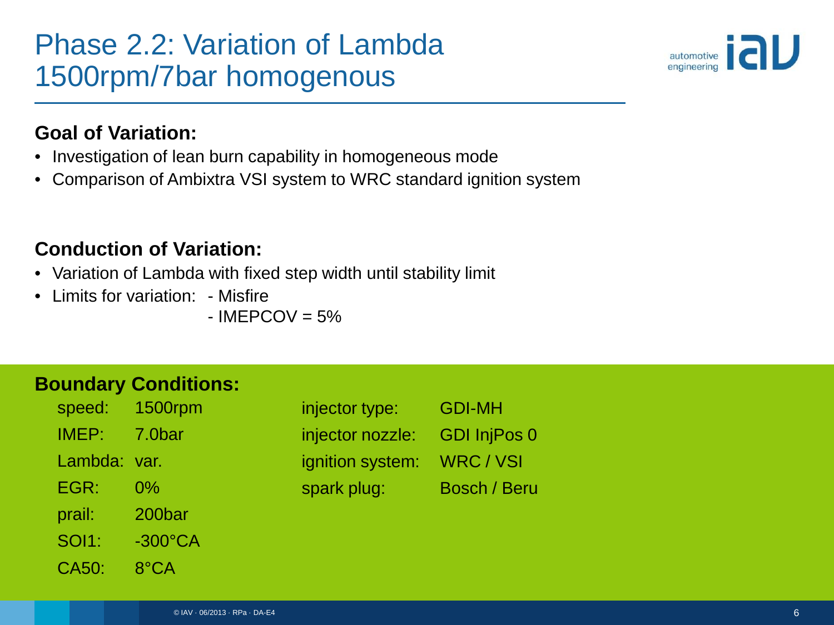# Phase 2.2: Variation of Lambda 1500rpm/7bar homogenous



#### **Goal of Variation:**

- Investigation of lean burn capability in homogeneous mode
- Comparison of Ambixtra VSI system to WRC standard ignition system

#### **Conduction of Variation:**

- Variation of Lambda with fixed step width until stability limit
- Limits for variation: Misfire

 $-$  IMEPCOV = 5%

| speed:       | 1500rpm           |
|--------------|-------------------|
| IMEP:        | 7.0bar            |
| Lambda:      | var.              |
| EGR:         | 0%                |
| prail:       | 200bar            |
| <b>SOI1:</b> | $-300^{\circ}$ CA |
| CA50:        | 8°CA              |

| injector type:   | <b>GDI-MH</b>       |
|------------------|---------------------|
| injector nozzle: | <b>GDI InjPos 0</b> |
| ignition system: | WRC / VSI           |
| spark plug:      | <b>Bosch / Beru</b> |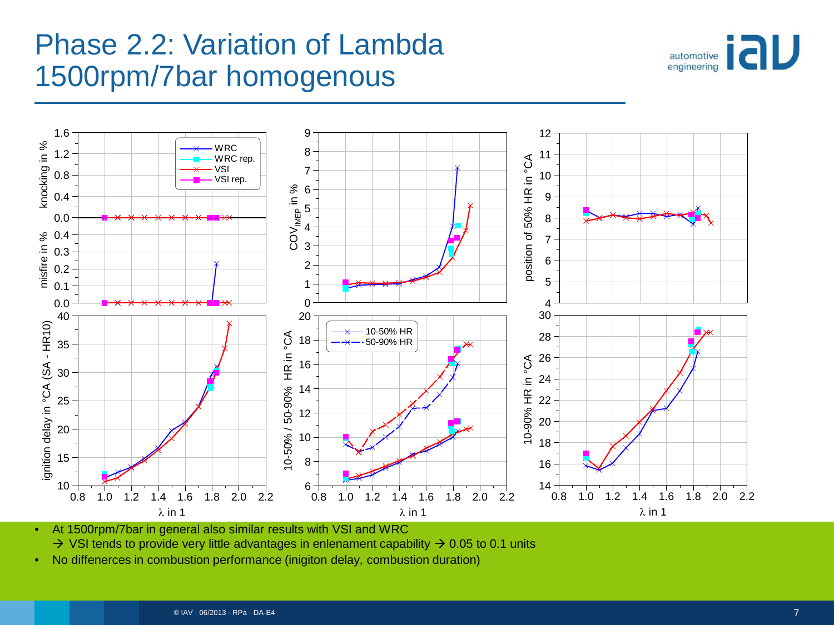# Phase 2.2: Variation of Lambda 1500rpm/7bar homogenous





• At 1500rpm/7bar in general also similar results with VSI and WRC

 $\rightarrow$  VSI tends to provide very little advantages in enlenament capability  $\rightarrow$  0.05 to 0.1 units

• No diffenerces in combustion performance (inigiton delay, combustion duration)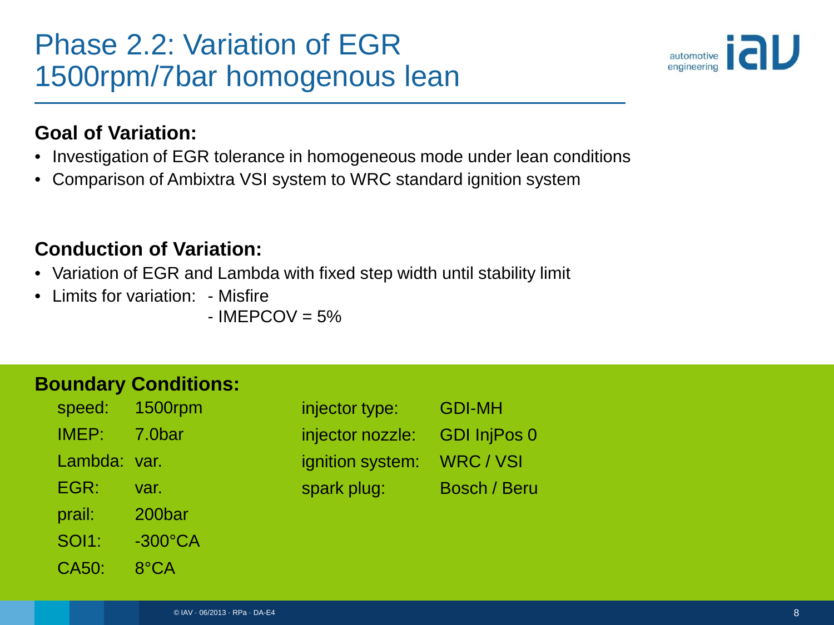# Phase 2.2: Variation of EGR 1500rpm/7bar homogenous lean



#### **Goal of Variation:**

- Investigation of EGR tolerance in homogeneous mode under lean conditions
- Comparison of Ambixtra VSI system to WRC standard ignition system

#### **Conduction of Variation:**

- Variation of EGR and Lambda with fixed step width until stability limit
- Limits for variation: Misfire

 $-$  IMEPCOV = 5%

| speed:    | 1500rpm           |
|-----------|-------------------|
| IMEP:     | 7.0bar            |
| Lambda: I | var.              |
| EGR:      | var.              |
| prail:    | 200bar            |
| SOI1:     | $-300^{\circ}$ CA |
| CA50:     | 8°CA              |

| injector type:   | <b>GDI-MH</b>       |
|------------------|---------------------|
| injector nozzle: | <b>GDI InjPos 0</b> |
| ignition system: | WRC / VSI           |
| spark plug:      | <b>Bosch / Beru</b> |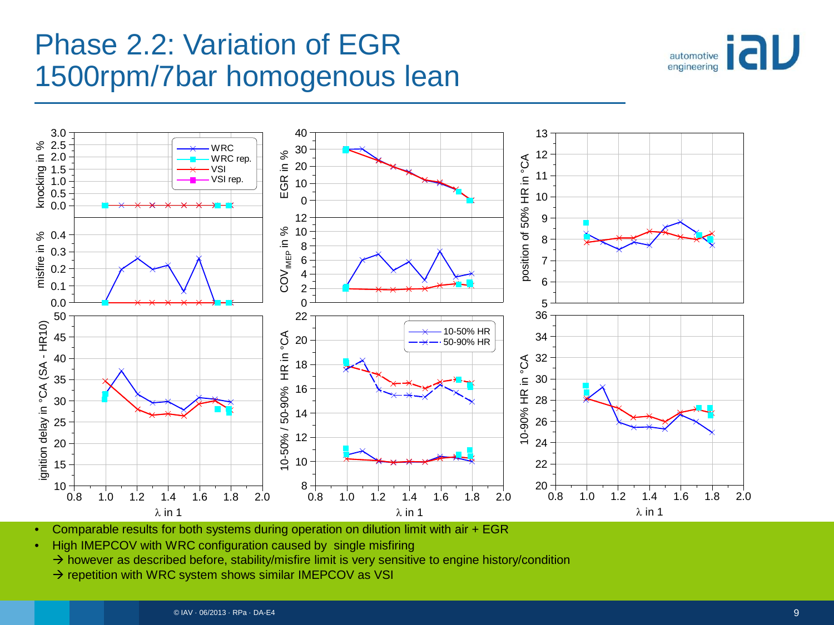# Phase 2.2: Variation of EGR 1500rpm/7bar homogenous lean





• Comparable results for both systems during operation on dilution limit with air + EGR

• High IMEPCOV with WRC configuration caused by single misfiring

 $\rightarrow$  however as described before, stability/misfire limit is very sensitive to engine history/condition

 $\rightarrow$  repetition with WRC system shows similar IMEPCOV as VSI